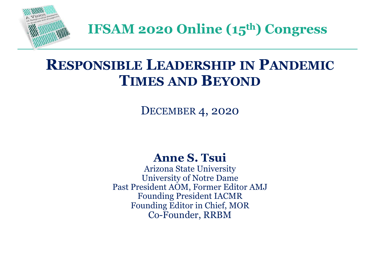

**IFSAM 2020 Online (15th) Congress**

#### **RESPONSIBLE LEADERSHIP IN PANDEMIC TIMES AND BEYOND**

DECEMBER 4, 2020

#### **Anne S. Tsui**

Arizona State University University of Notre Dame Past President AOM, Former Editor AMJ Founding President IACMR Founding Editor in Chief, MOR Co-Founder, RRBM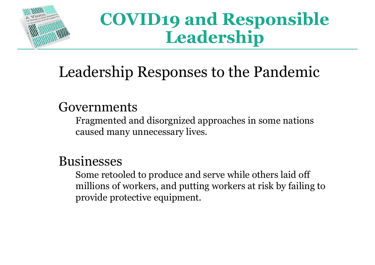

## **COVID19 and Responsible Leadership**

## Leadership Responses to the Pandemic

#### Governments

Fragmented and disorgnized approaches in some nations caused many unnecessary lives.

#### **Businesses**

Some retooled to produce and serve while others laid off millions of workers, and putting workers at risk by failing to provide protective equipment.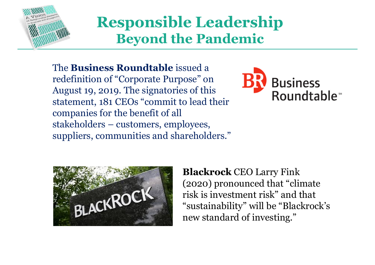

#### **Responsible Leadership Beyond the Pandemic**

The **Business Roundtable** issued a redefinition of "Corporate Purpose" on August 19, 2019. The signatories of this statement, 181 CEOs "commit to lead their companies for the benefit of all stakeholders – customers, employees, suppliers, communities and shareholders."





**Blackrock** CEO Larry Fink (2020) pronounced that "climate risk is investment risk" and that "sustainability" will be "Blackrock's new standard of investing."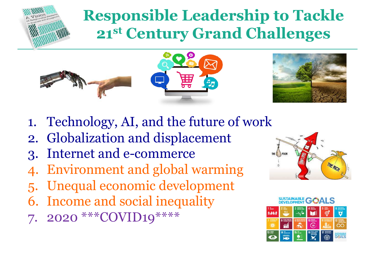

## **Responsible Leadership to Tackle 21st Century Grand Challenges**





- 1. Technology, AI, and the future of work
- 2. Globalization and displacement
- 3. Internet and e-commerce
- 4. Environment and global warming
- 5. Unequal economic development
- 6. Income and social inequality
- 7. 2020 \*\*\*COVID19\*\*\*\*



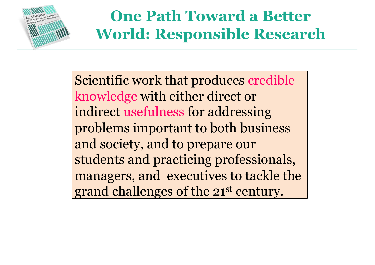

### **One Path Toward a Better World: Responsible Research**

Scientific work that produces credible knowledge with either direct or indirect usefulness for addressing problems important to both business and society, and to prepare our students and practicing professionals, managers, and executives to tackle the grand challenges of the 21st century.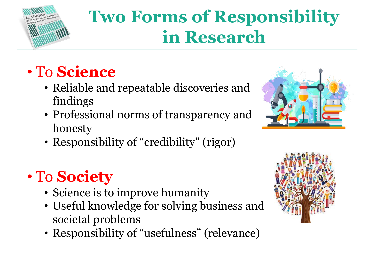

# **Two Forms of Responsibility in Research**

## • To **Science**

- Reliable and repeatable discoveries and findings
- Professional norms of transparency and honesty
- Responsibility of "credibility" (rigor)

## • To **Society**

- Science is to improve humanity
- Useful knowledge for solving business and societal problems
- Responsibility of "usefulness" (relevance)



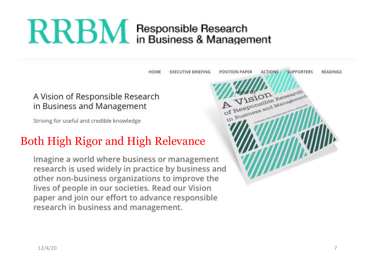# **RRBM** Responsible Research

HOME

**EXECUTIVE BRIEFING** 

A Vision of Responsible Research in Business and Management

Striving for useful and credible knowledge

#### Both High Rigor and High Relevance

Imagine a world where business or management research is used widely in practice by business and other non-business organizations to improve the lives of people in our societies. Read our Vision paper and join our effort to advance responsible research in business and management.

POSITION PAPER **ACTIONS SUPPORTERS READINGS** Responsible Research **A VisiOn** Research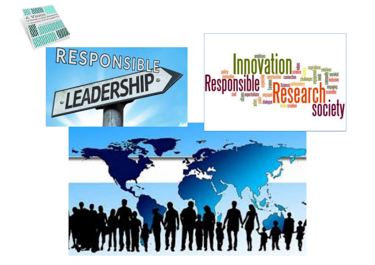